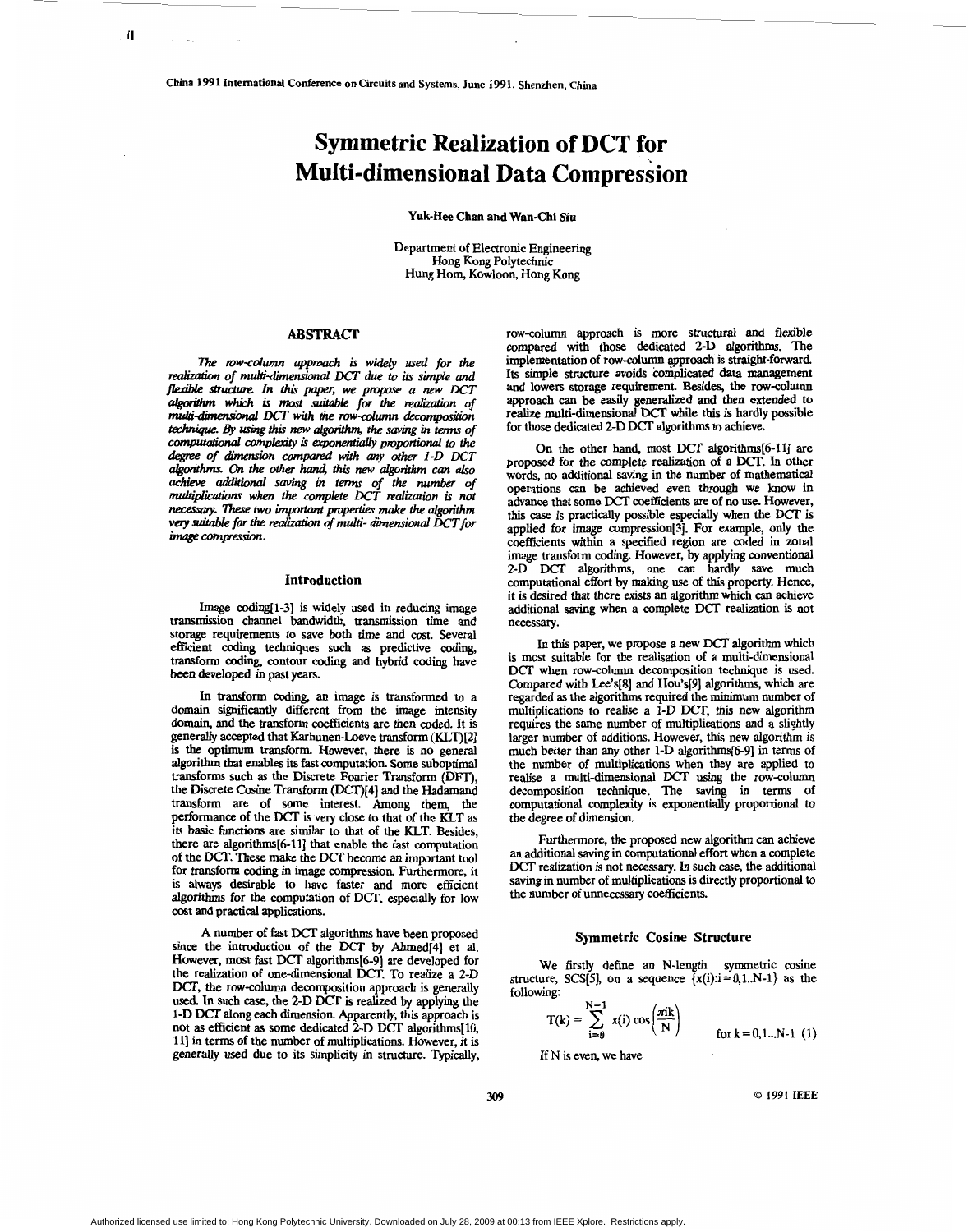# **Symmetric Realization of DCT for Multi-dimensional Data Compression**

**Yuk-Hee Chan and Wan-Chi Siu** 

Department of Electronic Engineering Hong Kong Polytechnic Hung Hom, Kowloon, Hong Kong

# **ABSTRACT**

*ne row-column approach is widely used for the <i>institute network* reahzatron *of d-dhembd DCT due* **to its** *simpk and flexible structure. In this paper, we propose a new DCT algorithm which is most suitable for the realization of multi-dimensional DCT with the row-column decomposition technique. By using this new algorithm, the saving in terms of CMpUtational wmpcexity* **is** *exponentlanyprophd* **to** *the l-&oIithm& on the other harui, this new algorithm can also achieve additiod* **saving** *m* **tm** *of the number of naul@ic&ons when the wmpkte DCT realization* **is** *not necesy.* ?hese *two important properties make the algorithm degree of dimension compared with any other 1-D DCT very scutable for the* realizarion *4 multi- dimensional DCT* for  $image compression$ .

## **Introduction**

Image coding[l-3] is widely used in reducing image transmission channel bandwidth, trammission time and storage requirements to save both time and cost. Several efficient coding techniques such **as** predictive *coding,*  transform *coding,* contour coding and hybrid coding have **been** developed in past years.

In transform coding, an image is transformed to a domain significantly different from the image intensity domain, and the transform coefficients are then coded. It is generally accepted that Karhunen-Loeve transform **(KLT)[2]**  is the optimum transform. However, there is no general **algorithm** that enables its fast computation. Some suboptimal transforms such **as** the Discrete Fourier Transform (DFT), the Discrete Cosine Transform (DCT)[4] and the Hadamand transform are of some interest. Among them, the performance of the DCT is very close to that of the KLT as its basic functions are similar to that of the KLT. Besides, there are algorithms[6-11] that enable the fast computation of the DCT. These make the DCT become *an* important tool for transform *coding* in image compression. Furthermore, it is always desirable to have faster and more efficient algorithms for the computation of DCr, especially for low cost and practical applications.

A number of fast DCT algorithms have been proposed since the introduction of the **by** Ahmed[4] et al. However, most fast DCT algorithms[6-9) are developed for the realization of one-dimensional DCT. To realize a 2-D DCT, the row-column decomposition approach is generally used. In such *case,* the 2-D DCT is realized **by** applying the 1-D DCI' along each dimension. Apparently, *this* approach is not **as** efficient **as** some dedicated 2-D DCT algorithms[lO, 11) in terms of the number of multiplications. However, it is generally used due to its simplicity in structure. Typically,

row-column approach is more structural and flexible compared with those dedicated 2-D algorithms. The implementation of row-column approach is straight-forward. Its simple structure avoids complicated data management and lowers storage requirement. Besides, the rowcolumn approach *can* be easily generalized and then extended to realize multi-dimensional DCT while **this** is hardly possible for those dedicated 2-D DCT algorithms to achieve.

On the other hand, most DCT algorithms[6-11] are proposed for the complete realization of a DCT. In other words, no additional **saving** in the number of mathematical operations *can* be achieved even through we **how** in advance that some DCT coefficients are of no use. However, this *case* is practically possible especially when the DCT is applied for image compression[3]. For example, only the coefficients within a specified region are coded in zonal image transform coding. However, **by** applying conventional 2-D DCT algorithms, one can hardly save much computational effort by *making* use of *this* property. Hence, it is desired that there exists an algorithm which *can* achieve additional saving when a complete DCT realization is not necessary.

In this paper, we propose a new DCT algorithm which is most suitable for the realisation of a multi-dimensional DCT when row-column decomposition technique is used. Compared with Lee's[8] and Hou's[9] algorithms, which are regarded **as** the algorithns required the minimum number of multiplications to realise a **1-D** DCT, this new algorithm requires the same number of multiplications and a slightly larger number of additions. However, this new algorithm is much better than any other 1-D algorithms[6-9] in terms of the number of multiplications when they are applied to realise a multi-dimensional DCT using the rowcolumn decomposition technique. The saving in terms of computational complexity is exponentially proportional to the degree of dimension.

Furthermore, the proposed new algorithm *can* achieve **an** additional saving in computational effort when a complete DCT realization is not necessary. In such *case,* the additional saving in number of multiplications is directly proportional to the number of unnecessary coefficients.

# **Symmetric Cosine Structure**

We firstly define an N-length symmetric cosine structure, *SCS*[5], on a sequence  $\{x(i): i = 0, 1..N-1\}$  as the following:

$$
T(k) = \sum_{i=0}^{N-1} x(i) \cos\left(\frac{\pi i k}{N}\right)
$$
 for k = 0,1...N-1 (1)

If N is even, we have

**<sup>309</sup>***0 1991* **IEEE** 

Authorized licensed use limited to: Hong Kong Polytechnic University. Downloaded on July 28, 2009 at 00:13 from IEEE Xplore. Restrictions apply.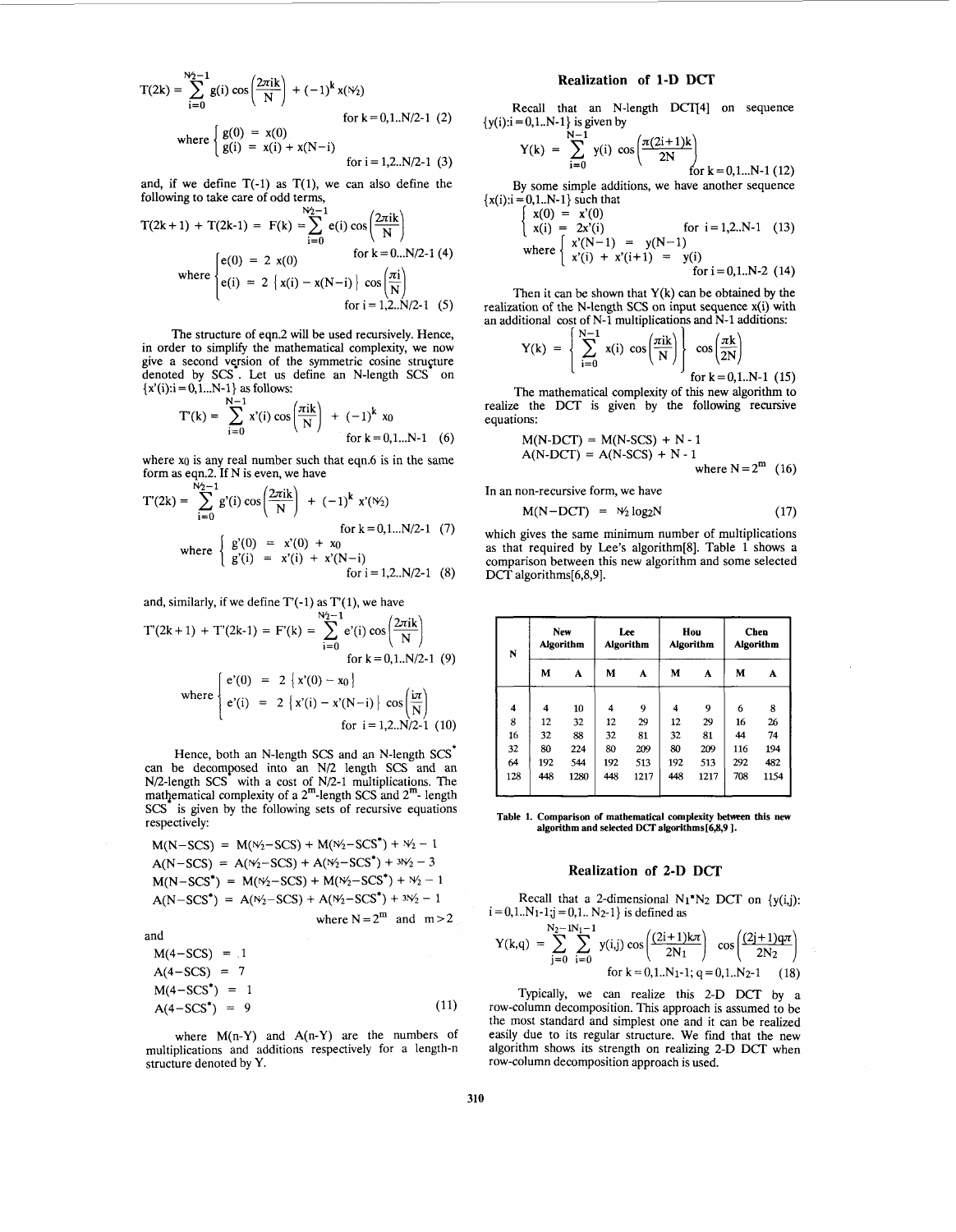$$
T(2k) = \sum_{i=0}^{N_2-1} g(i) \cos\left(\frac{2\pi i k}{N}\right) + (-1)^k x(N_2)
$$
  
for k = 0,1..N/2-1 (2)  
where 
$$
\begin{cases} g(0) = x(0) \\ g(i) = x(i) + x(N-i) \end{cases}
$$
 for i = 1,2..N/2-1 (3)

and, if we define  $T(-1)$  as  $T(1)$ , we can also define the following to take care of odd terms,

following to take care of odd terms,  
\n
$$
T(2k+1) + T(2k-1) = F(k) = \sum_{i=0}^{N_2-1} e(i) \cos\left(\frac{2\pi i k}{N}\right)
$$
\nwhere 
$$
\begin{cases}\ne(0) = 2 \ x(0) & \text{for } k = 0...N/2-1 \ (4) \\
e(i) = 2 \ \{x(i) - x(N-i)\} \cos\left(\frac{\pi i}{N}\right) \\
for i = 1,2...N/2-1 \ (5)\n\end{cases}
$$

The structure of eqn.2 will be used recursively. Hence, in order to simplify the mathematical complexity, we now give a second version of the symmetric cosine structure denoted by SCS. Let us define an N-length SCS on  ${x'(i): i = 0, 1...N-1}$  as follows:<br> $N-1$ 

$$
T'(k) = \sum_{i=0}^{N-1} x'(i) \cos\left(\frac{\pi i k}{N}\right) + (-1)^k x_0
$$
  
for k = 0,1...N-1 (6)

where  $x_0$  is any real number such that eqn.6 is in the same

form as eqn.2. If N is even, we have  
\n
$$
T'(2k) = \sum_{i=0}^{N_2-1} g'(i) \cos\left(\frac{2\pi i k}{N}\right) + (-1)^k x'(N_2)
$$
\nfor k = 0, 1...N/2-1 (7)  
\nwhere 
$$
\begin{cases}\ng'(0) = x'(0) + x_0 \\
g'(i) = x'(i) + x'(N-i) \\
for i = 1, 2...N/2-1 (8)\n\end{cases}
$$

and, similarly, if we define T'(-1) as T'(1), we have  $\frac{N_2-1}{N_1}$ 

$$
T'(2k+1) + T'(2k-1) = F'(k) = \sum_{i=0}^{N_2-1} e'(i) \cos\left(\frac{2\pi i k}{N}\right)
$$
  
for k = 0,1..N/2-1 (9)  
where 
$$
\begin{cases} e'(0) = 2 \{x'(0) - x_0\} \\ e'(i) = 2 \{x'(i) - x'(N-i)\} \cos\left(\frac{i\pi}{N}\right) \\ \text{for } i = 1,2..N/2-1 (10) \end{cases}
$$

Hence, both **an** N-length SCS and an N-length SCS\* can be decomposed into an  $N/2$  length  $SCS$  and an  $N/2$ -length  $SCS^*$  with a cost of  $N/2$ -1 multiplications. The mathematical complexity of a  $2^{\text{m}}$ -length SCS and  $2^{\text{m}}$ -length SCS is given by the following sets of recursive equations respectively:

$$
M(N-SCS) = M(\frac{N_2 - SCS}{N}) + M(\frac{N_2 - SCS^*}{N_2 - 1}
$$
  
\n
$$
A(N - SCS) = A(\frac{N_2 - SCS}{N}) + A(\frac{N_2 - SCS^*}{N_2 - 3}
$$
  
\n
$$
M(N - SCS^*) = M(\frac{N_2 - SCS}{N_2 - SCS} + M(\frac{N_2 - SCS^*}{N_2 - 1}) + \frac{N_2 - 1}{N_2 - 1}
$$
  
\n
$$
M(N - SCS^*) = A(\frac{N_2 - SCS}{N_2 - SCS} + A(\frac{N_2 - SCS^*}{N_2 - 1}) + \frac{N_2 - 1}{N_2 - 1}
$$
  
\n
$$
M = N = 2^m \text{ and } m > 2
$$

and

$$
M(4-SCS) = .1
$$
  
\n
$$
A(4-SCS) = 7
$$
  
\n
$$
M(4-SCS^*) = 1
$$
  
\n
$$
A(4-SCS^*) = 9
$$
\n(11)

where  $M(n-Y)$  and  $A(n-Y)$  are the numbers of multiplications and additions respectively for a length-n structure denoted by Y.

# **Realization of 1-D DCI'**

Recall that an N-length DCT[4] on sequence  ${y(i): i = 0, 1..N-1}$  is given by

$$
Y(k) = \sum_{i=0}^{N-1} y(i) \cos\left(\frac{\pi(2i+1)k}{2N}\right) \text{ for } k = 0, 1...N-1 \text{ (12)}
$$

By some simple additions, we have another sequence  ${x(i): i = 0, 1..N-1}$  such that

$$
\begin{cases}\nx(0) = x'(0) \\
x(i) = 2x'(i) \\
\text{where } \begin{cases}\nx'(N-1) = y(N-1) \\
x'(i) + x'(i+1) = y(i) \\
\text{for } i = 0, 1..N-2 \ (14)\n\end{cases}\n\end{cases}
$$

Then it can be shown that  $Y(k)$  can be obtained by the realization of the N-length SCS on input sequence x(i) with an additional cost of N-1 multiplications and N-1 additions:

function of the N-length SCS on input sequence 
$$
x(i)
$$
 with  $1$   $N-1$  multiplications and  $N-1$  additions:

\n
$$
Y(k) = \left\{ \sum_{i=0}^{N-1} x(i) \cos\left(\frac{\pi i k}{N}\right) \right\} \cos\left(\frac{\pi k}{2N}\right)
$$

\nfor  $k = 0, 1 \ldots N-1$  (15)

The mathematical complexity of this new algorithm to realize the **DCT** is given by the following recursive equations:

$$
M(N-DCT) = M(N-SCS) + N - 1
$$
  
A(N-DCT) = A(N-SCS) + N - 1  
where N = 2<sup>m</sup> (16)

In an non-recursive form, we have

$$
M(N-DCT) = W_2 \log_2 N \tag{17}
$$

which gives the same minimum number of multiplications as that required by Lee's algorithm[8]. Table 1 shows a comparison between this new algorithm and some selected DCT algorithms[6,8,9].

| N                   | New<br><b>Algorithm</b> |      | Lee<br><b>Algorithm</b> |      | Hou<br><b>Algorithm</b> |      | <b>Chen</b><br><b>Algorithm</b> |      |
|---------------------|-------------------------|------|-------------------------|------|-------------------------|------|---------------------------------|------|
|                     | M                       | A    | M                       | A    | М                       | A    | M                               | A    |
| $\overline{\bf{4}}$ | 4                       | 10   | 4                       | 9    | 4                       | 9    | 6                               | 8    |
| 8                   | 12                      | 32   | 12                      | 29   | 12                      | 29   | 16                              | 26   |
| 16                  | 32                      | 88   | 32                      | 81   | 32                      | 81   | 44                              | 74   |
| 32                  | 80                      | 224  | 80                      | 209  | 80                      | 209  | 116                             | 194  |
| 64                  | 192                     | 544  | 192                     | 513  | 192                     | 513  | 292                             | 482  |
| 128                 | 448                     | 1280 | 448                     | 1217 | 448                     | 1217 | 708                             | 1154 |

**Table 1. Comparison of mathematical complexity hetween this new algorithm and selected DCT algorithms[6,8,9 1.** 

## **Realization of 2-D DCT**

Recall that a 2-dimensional  $N_1 N_2$  DCT on  $\{y(i,j)\}$ :  $i=0,1..N_1-1; j=0,1.. N_2-1}$  is defined as

$$
Y(k,q) = \sum_{j=0}^{N_2-1} \sum_{i=0}^{N_1-1} y(i,j) \cos\left(\frac{(2i+1)k\pi}{2N_1}\right) \cos\left(\frac{(2j+1)q\pi}{2N_2}\right)
$$
  
for k = 0,1..N<sub>1</sub>-1; q = 0,1..N<sub>2</sub>-1 (18)

Typically, we can realize this 2-D DCT by a row-column decomposition. This approach is assumed to be the most standard and simplest one and it can be realized easily due to its regular structure. We find that the new algorithm shows its strength on realizing 2-D DCT when row-column decomposition approach is used.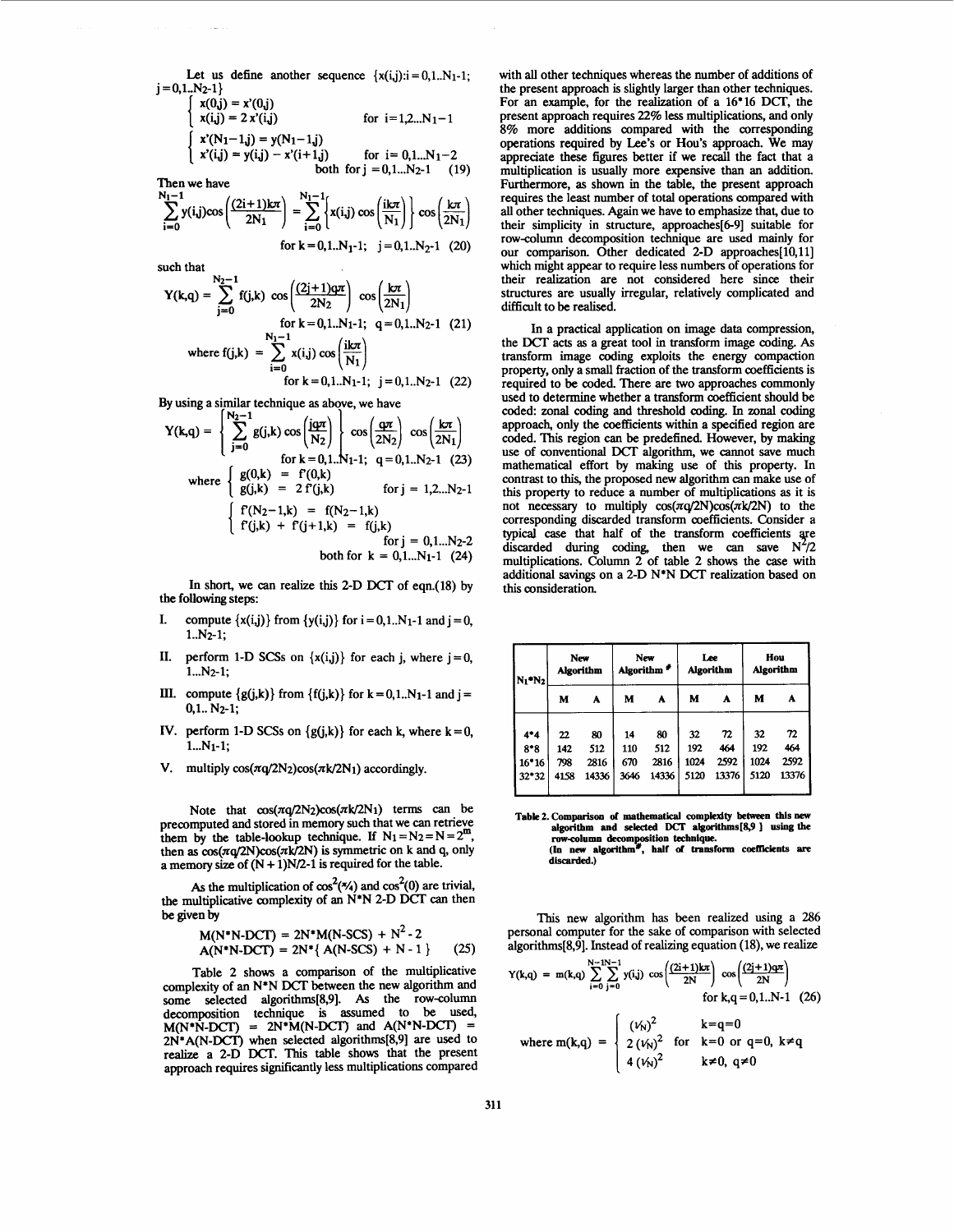Let us define another sequence  $\{x(i,j): i = 0,1..N_1-1\}$ ;  $j = 0,1..N<sub>2</sub>-1$ 

$$
\begin{cases}\nx(0,j) = x'(0,j) & \text{if } x(0,j) = 2x'(i,j) \\
x(i,j) = 2x'(i,j) & \text{for } i = 1,2...N_1 - 1 \\
x'(N_1 - 1,j) = y(N_1 - 1,j) & \text{for } i = 0,1...N_1 - 2 \\
x'(i,j) = y(i,j) - x'(i+1,j) & \text{for } i = 0,1...N_2 - 1 \\
x'(i,j) = y(i,j) - x'(i+1,j) & \text{for } i = 0,1...N_2 - 1 \\
x'(i,j) = 0 & \text{if } i = 0\n\end{cases}
$$

$$
\sum_{i=0}^{N_1-1} y(i,j)\cos\left(\frac{(2i+1)k\pi}{2N_1}\right) = \sum_{i=0}^{N_1-1} \left\{ x(i,j) \cos\left(\frac{ik\pi}{N_1}\right) \right\} \cos\left(\frac{k\pi}{2N_1}\right)
$$
  
for k = 0,1..N<sub>1</sub>-1; j = 0,1..N<sub>2</sub>-1 (20)

such that

$$
Y(k,q) = \sum_{j=0}^{N_2-1} f(j,k) \cos\left(\frac{(2j+1)qr}{2N_2}\right) \cos\left(\frac{k\pi}{2N_1}\right)
$$
  
for  $k = 0,1..N_1-1$ ;  $q = 0,1..N_2-1$  (21)  
where  $f(j,k) = \sum_{i=0}^{N_1-1} x(i,j) \cos\left(\frac{k\pi}{N_1}\right)$   
for  $k = 0,1..N_1-1$ ;  $j = 0,1..N_2-1$  (22)

**By** using a similar technique **as** above, we have

$$
Y(k,q) = \begin{cases} \sum_{j=0}^{N_2-1} g(j,k) \cos\left(\frac{j\alpha\pi}{N_2}\right) & \cos\left(\frac{\alpha\pi}{2N_2}\right) \cos\left(\frac{k\pi}{2N_1}\right) \\ \text{for } k = 0,1..N_1-1; \quad q = 0,1..N_2-1 \quad (23) \\ g(j,k) = f(0,k) & \text{for } j = 1,2...N_2-1 \\ \begin{cases} f(N_2-1,k) = f(N_2-1,k) \\ f(j,k) + f(j+1,k) = f(j,k) \\ \text{for } j = 0,1...N_2-2 \\ \text{both for } k = 0,1...N_1-1 \quad (24) \end{cases} \end{cases}
$$

**In** short, we *can* realize this 2-D DCT of eqn.(l8) by the following steps:

- compute  $\{x(i,j)\}$  from  $\{y(i,j)\}$  for  $i = 0,1...N_1-1$  and  $j = 0$ , I.  $1. N<sub>2</sub>-1$ :
- **II.** perform 1-D SCSs on  $\{x(i,j)\}\)$  for each j, where  $j=0$ , 1...N2-1;
- **III.** compute  $\{g(i,k)\}\$  from  $\{f(i,k)\}\$  for  $k=0,1..N_1-1$  and  $j=$ 0.1.. N2-1;
- IV. perform 1-D SCSs on  $\{g(j,k)\}\$ for each  $k$ , where  $k = 0$ ,  $1...N_1-1$ ;
- V. multiply  $cos(\pi q/2N_2)cos(\pi k/2N_1)$  accordingly.

Note that  $cos(\pi q/2N_2)cos(\pi k/2N_1)$  terms can be precomputed and stored in memory such that we can retrieve them by the table-lookup technique. If  $N_1 = N_2 = N = 2^m$ , then as  $cos(\pi q/2N)cos(\pi k/2N)$  is symmetric on k and q, only a memory size of  $(N + 1)N/2-1$  is required for the table.

As the multiplication of  $cos^2(\frac{\pi}{4})$  and  $cos^2(0)$  are trivial, the multiplicative complexity of an N\*N 2-D DCT *can* then be given **by** 

$$
M(N*N\text{-}DCT) = 2N*M(N\text{-}SCS) + N^2 - 2
$$
  
A(N\*N\text{-}DCT) = 2N\*(A(N\text{-}SCS) + N - 1) (25)

Table 2 shows a comparison of the multiplicative complexity of an N\*N DCT between the new algorithm and some selected algorithms[8,9]. As the row-column decomposition technique is assumed to be used, 2N\*A(N-DCT) when selected algorithms[8,9] are used to realize a 2-D DCT. **This** table shows that the present approach requires significantly less multiplications compared  $M(N^*N-DCT)$  = 2N\* $M(N-DCT)$  and  $A(N^*N-DCT)$  =

with all other techniques whereas the number of additions of the present approach is slightly larger than other techniques. For an example, for the realization of a 16'16 DCT, the present approach requires 22% less multiplications, and only 8% more additions compared with the corresponding operations required by **Lee's** or Hou's approach. We may appreciate these figures better if we recall the fact that a multiplication is usually more expensive than an addition. Furthermore, **as** shown in the table, the present approach requires the least number of total operations compared with all other techniques. **Again** we have to emphasize that, due to their simplicity in structure, approaches[6-91 suitable for rowcolumn decomposition technique are used mainly for our comparison. Other dedicated 2-D approaches[10,11] which might appear to require less numbers of operations for their realization are not considered here since their structures are usually irregular, relatively complicated and difficult to be realised.

**In** a practical application **on** image data compression, the DCT acts **as** a great tool in transform image coding. **As**  transform image coding exploits the energy compaction property, only a **small** fraction of the transform coefficients is required to be coded. There are two approaches commonly used to determine whether a transform coefficient should be coded: zonal coding and threshold coding. In zonal coding approach, only the coefficients within a specified region are coded. **This** region can be predefined. However, by making use of conventional DCT algorithm, we cannot save much mathematical effort by making use of **this** property. **In**  contrast to **this,** the proposed new algorithm *can* make use of **this** property to reduce a number of multiplications **as** it is not necessary to multiply  $cos(\pi q/2N)cos(\pi k/2N)$  to the corresponding discarded transform coefficients. Consider a typical case that half of the transform coefficients ye discarded during coding, then we can save  $N^2/2$ multiplications. Column 2 of table 2 shows the case with additional **savings on** a 2-D N\*N DCT realization based **on this** consideration.

| $N_1$ <sup>*</sup> $N_2$ | New<br><b>Algorithm</b> |       | New<br>Algorithm <sup>#</sup> |       | Lee<br>Algorithm |       | Hou<br><b>Algorithm</b> |       |
|--------------------------|-------------------------|-------|-------------------------------|-------|------------------|-------|-------------------------|-------|
|                          | M                       | A     | м                             | A     | М                | A     | м                       | A     |
| $4*4$                    | 22                      | 80    | 14                            | 80    | 32               | 72    | 32                      | 72    |
| $8*8$                    | 142                     | 512   | 110                           | 512   | 192              | 464   | 192                     | 464   |
| $16*16$                  | 798                     | 2816  | 670                           | 2816  | 1024             | 2592  | 1024                    | 2592  |
| $32*32$                  | 4158                    | 14336 | 3646                          | 14336 | 5120             | 13376 | 5120                    | 13376 |

Table 2. Comparison of mathematical complexity between this new algorithm and selected DCT algorithms[8,9 ] using the algorithm and selected  $DCA$  algorithms [0,7] using the<br>row-column decomposition technique.<br>(In new algorithm<sup>#</sup>, half of transform coefficients are discarded.)

**This** new algorithm **has** been realized using a 286 personal computer for the sake of comparison with selected algorithms[8,9]. Instead of realizing equation (18), we realize

$$
Y(k,q) = m(k,q) \sum_{i=0}^{N-1} \sum_{j=0}^{N-1} y(i,j) \cos\left(\frac{(2i+1)k\pi}{2N}\right) \cos\left(\frac{(2j+1)q\pi}{2N}\right)
$$
  
for k,q = 0,1..N-1 (26)  

$$
\begin{cases} (V_N)^2 & k=q=0\\ 0 & k \end{cases}
$$

where m(k,q) = 
$$
\begin{cases} (1.0) \times 10^{-3} \text{ for } k=0 \text{ or } q=0, k \neq q \\ 4 (1.0) \times 10^{-2} \text{ for } k=0, q \neq 0 \end{cases}
$$